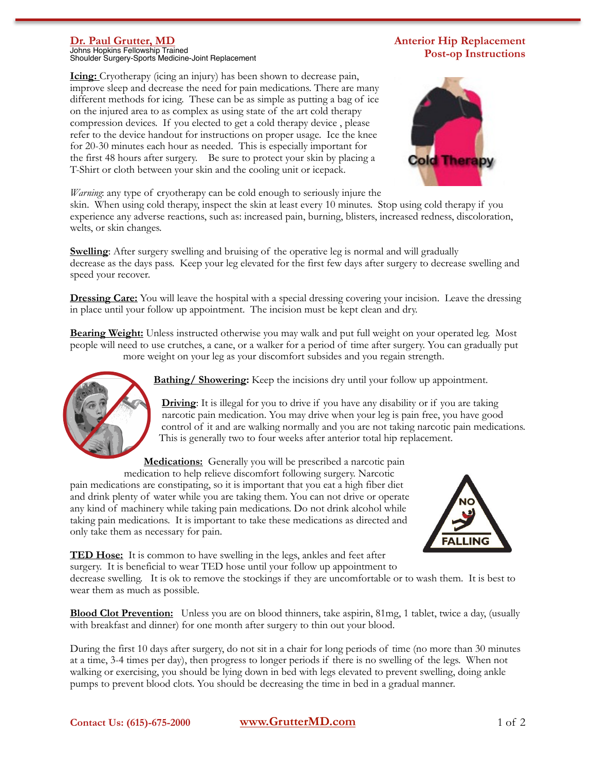## **Dr. Paul Grutter, MD**

Johns Hopkins Fellowship Trained Shoulder Surgery-Sports Medicine-Joint Replacement

## **Icing:** Cryotherapy (icing an injury) has been shown to decrease pain, improve sleep and decrease the need for pain medications. There are many different methods for icing. These can be as simple as putting a bag of ice on the injured area to as complex as using state of the art cold therapy compression devices. If you elected to get a cold therapy device , please refer to the device handout for instructions on proper usage. Ice the knee for 20-30 minutes each hour as needed. This is especially important for the first 48 hours after surgery. Be sure to protect your skin by placing a T-Shirt or cloth between your skin and the cooling unit or icepack.





*Warning*: any type of cryotherapy can be cold enough to seriously injure the

skin. When using cold therapy, inspect the skin at least every 10 minutes. Stop using cold therapy if you experience any adverse reactions, such as: increased pain, burning, blisters, increased redness, discoloration, welts, or skin changes.

**Swelling**: After surgery swelling and bruising of the operative leg is normal and will gradually decrease as the days pass. Keep your leg elevated for the first few days after surgery to decrease swelling and speed your recover.

**Dressing Care:** You will leave the hospital with a special dressing covering your incision. Leave the dressing in place until your follow up appointment. The incision must be kept clean and dry.

**Bearing Weight:** Unless instructed otherwise you may walk and put full weight on your operated leg. Most people will need to use crutches, a cane, or a walker for a period of time after surgery. You can gradually put more weight on your leg as your discomfort subsides and you regain strength.



**Bathing/ Showering:** Keep the incisions dry until your follow up appointment.

**Driving:** It is illegal for you to drive if you have any disability or if you are taking narcotic pain medication. You may drive when your leg is pain free, you have good control of it and are walking normally and you are not taking narcotic pain medications. This is generally two to four weeks after anterior total hip replacement.

**Medications:** Generally you will be prescribed a narcotic pain

medication to help relieve discomfort following surgery. Narcotic pain medications are constipating, so it is important that you eat a high fiber diet and drink plenty of water while you are taking them. You can not drive or operate any kind of machinery while taking pain medications. Do not drink alcohol while taking pain medications. It is important to take these medications as directed and only take them as necessary for pain.



**TED Hose:** It is common to have swelling in the legs, ankles and feet after surgery. It is beneficial to wear TED hose until your follow up appointment to

decrease swelling. It is ok to remove the stockings if they are uncomfortable or to wash them. It is best to wear them as much as possible.

**Blood Clot Prevention:** Unless you are on blood thinners, take aspirin, 81mg, 1 tablet, twice a day, (usually with breakfast and dinner) for one month after surgery to thin out your blood.

During the first 10 days after surgery, do not sit in a chair for long periods of time (no more than 30 minutes at a time, 3-4 times per day), then progress to longer periods if there is no swelling of the legs. When not walking or exercising, you should be lying down in bed with legs elevated to prevent swelling, doing ankle pumps to prevent blood clots. You should be decreasing the time in bed in a gradual manner.